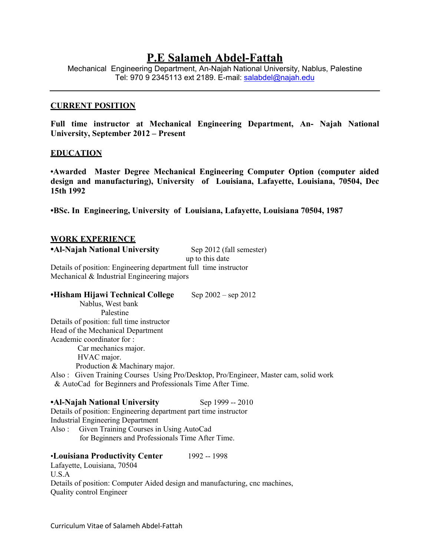# **P.E Salameh Abdel-Fattah**

Mechanical Engineering Department, An-Najah National University, Nablus, Palestine Tel: 970 9 2345113 ext 2189. E-mail: salabdel@najah.edu

#### **CURRENT POSITION**

**Full time instructor at Mechanical Engineering Department, An- Najah National University, September 2012 – Present**

#### **EDUCATION**

**•Awarded Master Degree Mechanical Engineering Computer Option (computer aided design and manufacturing), University of Louisiana, Lafayette, Louisiana, 70504, Dec 15th 1992**

**•BSc. In Engineering, University of Louisiana, Lafayette, Louisiana 70504, 1987** 

#### **WORK EXPERIENCE**

**•Al-Najah National University** Sep 2012 (fall semester)

up to this date

Details of position: Engineering department full time instructor Mechanical & Industrial Engineering majors

#### **•Hisham Hijawi Technical College** Sep 2002 – sep 2012

 Nablus, West bank Palestine Details of position: full time instructor Head of the Mechanical Department Academic coordinator for : Car mechanics major. HVAC major. Production & Machinary major. Also : Given Training Courses Using Pro/Desktop, Pro/Engineer, Master cam, solid work & AutoCad for Beginners and Professionals Time After Time.

**•Al-Najah National University** Sep 1999 -- 2010 Details of position: Engineering department part time instructor Industrial Engineering Department Also : Given Training Courses in Using AutoCad for Beginners and Professionals Time After Time.

•**Louisiana Productivity Center** 1992 -- 1998 Lafayette, Louisiana, 70504 U.S.A Details of position: Computer Aided design and manufacturing, cnc machines, Quality control Engineer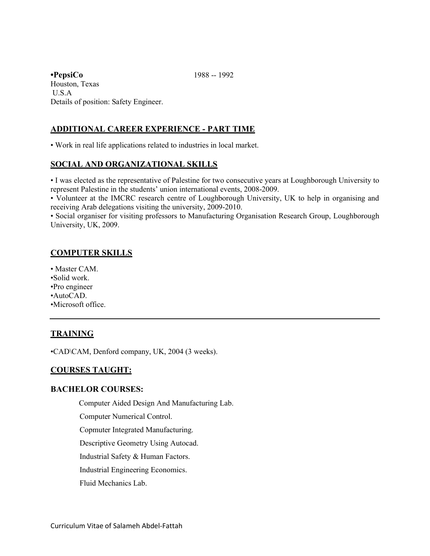**•PepsiCo** 1988 -- 1992 Houston, Texas U.S.A Details of position: Safety Engineer.

# **ADDITIONAL CAREER EXPERIENCE - PART TIME**

• Work in real life applications related to industries in local market.

## **SOCIAL AND ORGANIZATIONAL SKILLS**

• I was elected as the representative of Palestine for two consecutive years at Loughborough University to represent Palestine in the students' union international events, 2008-2009.

• Volunteer at the IMCRC research centre of Loughborough University, UK to help in organising and receiving Arab delegations visiting the university, 2009-2010.

• Social organiser for visiting professors to Manufacturing Organisation Research Group, Loughborough University, UK, 2009.

## **COMPUTER SKILLS**

- Master CAM.
- •Solid work.
- •Pro engineer
- •AutoCAD.
- •Microsoft office.

# **TRAINING**

•CAD\CAM, Denford company, UK, 2004 (3 weeks).

## **COURSES TAUGHT:**

### **BACHELOR COURSES:**

Computer Aided Design And Manufacturing Lab.

Computer Numerical Control.

Copmuter Integrated Manufacturing.

Descriptive Geometry Using Autocad.

Industrial Safety & Human Factors.

Industrial Engineering Economics.

Fluid Mechanics Lab.